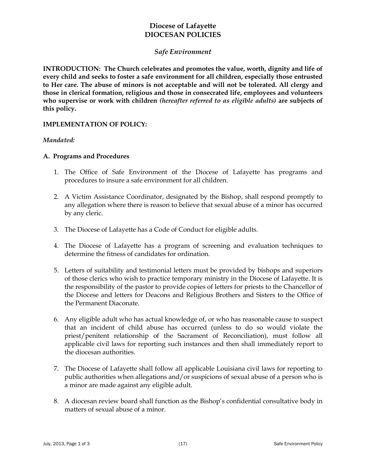# **Diocese of Lafayette DIOCESAN POLICIES**

## *Safe Environment*

**INTRODUCTION: The Church celebrates and promotes the value, worth, dignity and life of every child and seeks to foster a safe environment for all children, especially those entrusted to Her care. The abuse of minors is not acceptable and will not be tolerated. All clergy and those in clerical formation, religious and those in consecrated life, employees and volunteers who supervise or work with children** *(hereafter referred to as eligible adults)* **are subjects of this policy.**

#### **IMPLEMENTATION OF POLICY:**

#### *Mandated:*

#### **A. Programs and Procedures**

- 1. The Office of Safe Environment of the Diocese of Lafayette has programs and procedures to insure a safe environment for all children.
- 2. A Victim Assistance Coordinator, designated by the Bishop, shall respond promptly to any allegation where there is reason to believe that sexual abuse of a minor has occurred by any cleric.
- 3. The Diocese of Lafayette has a Code of Conduct for eligible adults.
- 4. The Diocese of Lafayette has a program of screening and evaluation techniques to determine the fitness of candidates for ordination.
- 5. Letters of suitability and testimonial letters must be provided by bishops and superiors of those clerics who wish to practice temporary ministry in the Diocese of Lafayette. It is the responsibility of the pastor to provide copies of letters for priests to the Chancellor of the Diocese and letters for Deacons and Religious Brothers and Sisters to the Office of the Permanent Diaconate.
- 6. Any eligible adult who has actual knowledge of, or who has reasonable cause to suspect that an incident of child abuse has occurred (unless to do so would violate the priest/penitent relationship of the Sacrament of Reconciliation), must follow all applicable civil laws for reporting such instances and then shall immediately report to the diocesan authorities.
- 7. The Diocese of Lafayette shall follow all applicable Louisiana civil laws for reporting to public authorities when allegations and/or suspicions of sexual abuse of a person who is a minor are made against any eligible adult.
- 8. A diocesan review board shall function as the Bishop's confidential consultative body in matters of sexual abuse of a minor.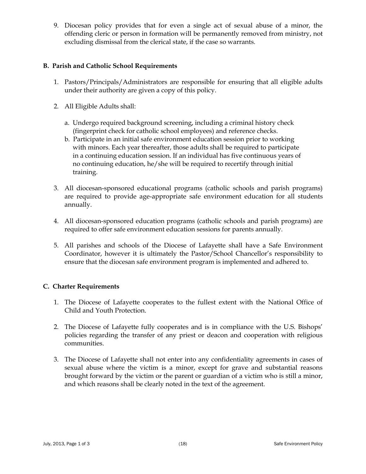9. Diocesan policy provides that for even a single act of sexual abuse of a minor, the offending cleric or person in formation will be permanently removed from ministry, not excluding dismissal from the clerical state, if the case so warrants.

## **B. Parish and Catholic School Requirements**

- 1. Pastors/Principals/Administrators are responsible for ensuring that all eligible adults under their authority are given a copy of this policy.
- 2. All Eligible Adults shall:
	- a. Undergo required background screening, including a criminal history check (fingerprint check for catholic school employees) and reference checks.
	- b. Participate in an initial safe environment education session prior to working with minors. Each year thereafter, those adults shall be required to participate in a continuing education session. If an individual has five continuous years of no continuing education, he/she will be required to recertify through initial training.
- 3. All diocesan-sponsored educational programs (catholic schools and parish programs) are required to provide age-appropriate safe environment education for all students annually.
- 4. All diocesan-sponsored education programs (catholic schools and parish programs) are required to offer safe environment education sessions for parents annually.
- 5. All parishes and schools of the Diocese of Lafayette shall have a Safe Environment Coordinator, however it is ultimately the Pastor/School Chancellor's responsibility to ensure that the diocesan safe environment program is implemented and adhered to.

### **C. Charter Requirements**

- 1. The Diocese of Lafayette cooperates to the fullest extent with the National Office of Child and Youth Protection.
- 2. The Diocese of Lafayette fully cooperates and is in compliance with the U.S. Bishops' policies regarding the transfer of any priest or deacon and cooperation with religious communities.
- 3. The Diocese of Lafayette shall not enter into any confidentiality agreements in cases of sexual abuse where the victim is a minor, except for grave and substantial reasons brought forward by the victim or the parent or guardian of a victim who is still a minor, and which reasons shall be clearly noted in the text of the agreement.